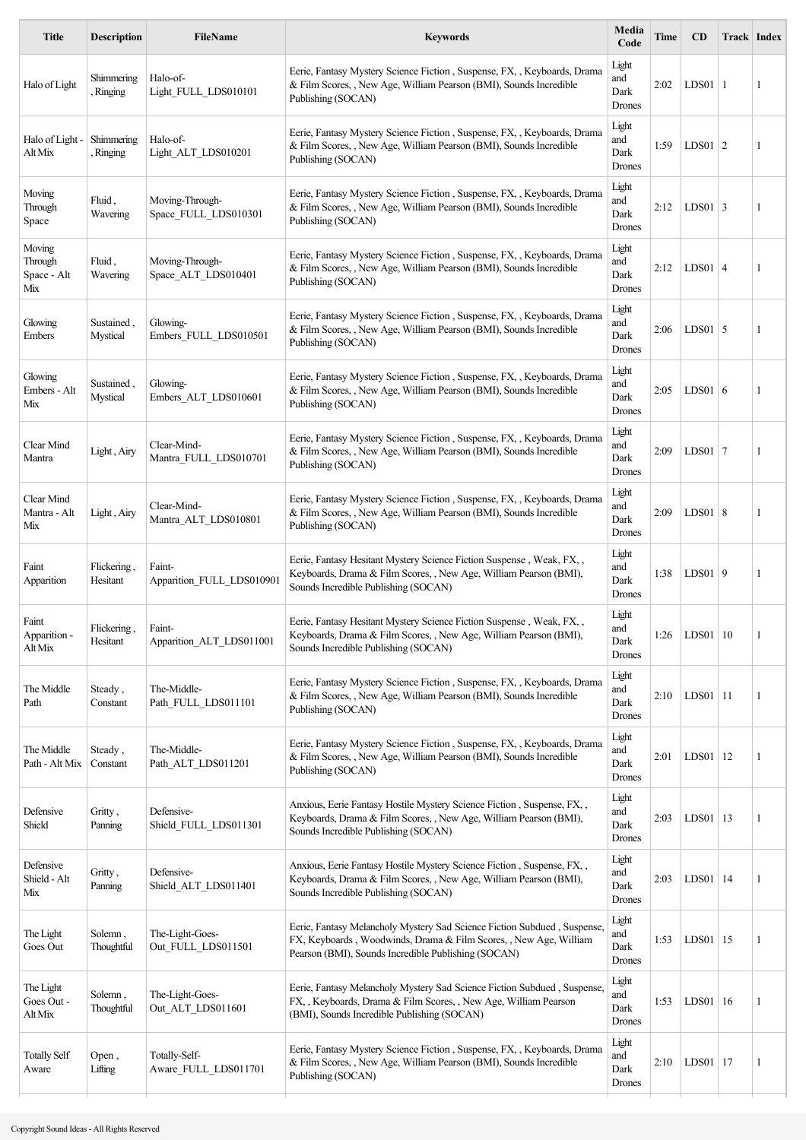| <b>Title</b>                            | <b>Description</b>      | FileName                                | <b>Keywords</b>                                                                                                                                                                                      | Media<br>Code                  | Time | CD           | Track Index |   |
|-----------------------------------------|-------------------------|-----------------------------------------|------------------------------------------------------------------------------------------------------------------------------------------------------------------------------------------------------|--------------------------------|------|--------------|-------------|---|
| Halo of Light                           | Shimmering<br>Ringing   | Halo-of-<br>Light FULL LDS010101        | Eerie, Fantasy Mystery Science Fiction, Suspense, FX, , Keyboards, Drama<br>& Film Scores, , New Age, William Pearson (BMI), Sounds Incredible<br>Publishing (SOCAN)                                 | Light<br>and<br>Dark<br>Drones | 2:02 | $LDS01$  1   |             | 1 |
| Halo of Light -<br>Alt Mix              | Shimmering<br>Ringing   | Halo-of-<br>Light ALT LDS010201         | Eerie, Fantasy Mystery Science Fiction, Suspense, FX, , Keyboards, Drama<br>& Film Scores, , New Age, William Pearson (BMI), Sounds Incredible<br>Publishing (SOCAN)                                 | Light<br>and<br>Dark<br>Drones | 1:59 | $LDS01$ 2    |             | 1 |
| Moving<br>Through<br>Space              | Fluid,<br>Wavering      | Moving-Through-<br>Space FULL LDS010301 | Eerie, Fantasy Mystery Science Fiction, Suspense, FX, , Keyboards, Drama<br>& Film Scores, , New Age, William Pearson (BMI), Sounds Incredible<br>Publishing (SOCAN)                                 | Light<br>and<br>Dark<br>Drones | 2:12 | $LDS01$ 3    |             | 1 |
| Moving<br>Through<br>Space - Alt<br>Mix | Fluid,<br>Wavering      | Moving-Through-<br>Space ALT LDS010401  | Eerie, Fantasy Mystery Science Fiction, Suspense, FX, , Keyboards, Drama<br>& Film Scores, , New Age, William Pearson (BMI), Sounds Incredible<br>Publishing (SOCAN)                                 | Light<br>and<br>Dark<br>Drones | 2:12 | $LDS01$ 4    |             | 1 |
| Glowing<br>Embers                       | Sustained,<br>Mystical  | Glowing-<br>Embers FULL LDS010501       | Eerie, Fantasy Mystery Science Fiction, Suspense, FX, , Keyboards, Drama<br>& Film Scores, , New Age, William Pearson (BMI), Sounds Incredible<br>Publishing (SOCAN)                                 | Light<br>and<br>Dark<br>Drones | 2:06 | $LDS01$ 5    |             | 1 |
| Glowing<br>Embers - Alt<br>Mix          | Sustained,<br>Mystical  | Glowing-<br>Embers ALT LDS010601        | Eerie, Fantasy Mystery Science Fiction, Suspense, FX, , Keyboards, Drama<br>& Film Scores, , New Age, William Pearson (BMI), Sounds Incredible<br>Publishing (SOCAN)                                 | Light<br>and<br>Dark<br>Drones | 2:05 | $LDS01$ 6    |             | 1 |
| Clear Mind<br>Mantra                    | Light, Airy             | Clear-Mind-<br>Mantra FULL LDS010701    | Eerie, Fantasy Mystery Science Fiction, Suspense, FX, , Keyboards, Drama<br>& Film Scores, , New Age, William Pearson (BMI), Sounds Incredible<br>Publishing (SOCAN)                                 | Light<br>and<br>Dark<br>Drones | 2:09 | $LDS01$ 7    |             | 1 |
| Clear Mind<br>Mantra - Alt<br>Mix       | Light, Airy             | Clear-Mind-<br>Mantra_ALT_LDS010801     | Eerie, Fantasy Mystery Science Fiction, Suspense, FX, , Keyboards, Drama<br>& Film Scores, , New Age, William Pearson (BMI), Sounds Incredible<br>Publishing (SOCAN)                                 | Light<br>and<br>Dark<br>Drones | 2:09 | $LDS01$ 8    |             | 1 |
| Faint<br>Apparition                     | Flickering,<br>Hesitant | Faint-<br>Apparition FULL LDS010901     | Eerie, Fantasy Hesitant Mystery Science Fiction Suspense, Weak, FX,,<br>Keyboards, Drama & Film Scores, , New Age, William Pearson (BMI),<br>Sounds Incredible Publishing (SOCAN)                    | Light<br>and<br>Dark<br>Drones | 1:38 | $LDS01$ 9    |             | 1 |
| Faint<br>Apparition -<br>Alt Mix        | Flickering,<br>Hesitant | Faint-<br>Apparition_ALT_LDS011001      | Eerie, Fantasy Hesitant Mystery Science Fiction Suspense, Weak, FX,,<br>Keyboards, Drama & Film Scores, , New Age, William Pearson (BMI),<br>Sounds Incredible Publishing (SOCAN)                    | Light<br>and<br>Dark<br>Drones | 1:26 | LDS01   10   |             | 1 |
| The Middle<br>Path                      | Steady,<br>Constant     | The-Middle-<br>Path_FULL_LDS011101      | Eerie, Fantasy Mystery Science Fiction, Suspense, FX, , Keyboards, Drama<br>& Film Scores, , New Age, William Pearson (BMI), Sounds Incredible<br>Publishing (SOCAN)                                 | Light<br>and<br>Dark<br>Drones | 2:10 | $LDS01$   11 |             | 1 |
| The Middle<br>Path - Alt Mix            | Steady,<br>Constant     | The-Middle-<br>Path_ALT_LDS011201       | Eerie, Fantasy Mystery Science Fiction, Suspense, FX, , Keyboards, Drama<br>& Film Scores, , New Age, William Pearson (BMI), Sounds Incredible<br>Publishing (SOCAN)                                 | Light<br>and<br>Dark<br>Drones | 2:01 | $LDS01$   12 |             | 1 |
| Defensive<br>Shield                     | Gritty,<br>Panning      | Defensive-<br>Shield FULL LDS011301     | Anxious, Eerie Fantasy Hostile Mystery Science Fiction, Suspense, FX,,<br>Keyboards, Drama & Film Scores, , New Age, William Pearson (BMI),<br>Sounds Incredible Publishing (SOCAN)                  | Light<br>and<br>Dark<br>Drones | 2:03 | $LDS01$   13 |             | 1 |
| Defensive<br>Shield - Alt<br>Mix        | Gritty,<br>Panning      | Defensive-<br>Shield_ALT_LDS011401      | Anxious, Eerie Fantasy Hostile Mystery Science Fiction, Suspense, FX,,<br>Keyboards, Drama & Film Scores, , New Age, William Pearson (BMI),<br>Sounds Incredible Publishing (SOCAN)                  | Light<br>and<br>Dark<br>Drones | 2:03 | $LDS01$   14 |             | 1 |
| The Light<br>Goes Out                   | Solemn,<br>Thoughtful   | The-Light-Goes-<br>Out FULL LDS011501   | Eerie, Fantasy Melancholy Mystery Sad Science Fiction Subdued, Suspense,<br>FX, Keyboards, Woodwinds, Drama & Film Scores, , New Age, William<br>Pearson (BMI), Sounds Incredible Publishing (SOCAN) | Light<br>and<br>Dark<br>Drones | 1:53 | LDS01        | 15          | 1 |
| The Light<br>Goes Out -<br>Alt Mix      | Solemn,<br>Thoughtful   | The-Light-Goes-<br>Out ALT LDS011601    | Eerie, Fantasy Melancholy Mystery Sad Science Fiction Subdued, Suspense,<br>FX, , Keyboards, Drama & Film Scores, , New Age, William Pearson<br>(BMI), Sounds Incredible Publishing (SOCAN)          | Light<br>and<br>Dark<br>Drones | 1:53 | $LDS01$ 16   |             | 1 |
| <b>Totally Self</b><br>Aware            | Open,<br>Lifting        | Totally-Self-<br>Aware FULL LDS011701   | Eerie, Fantasy Mystery Science Fiction, Suspense, FX, , Keyboards, Drama<br>& Film Scores, , New Age, William Pearson (BMI), Sounds Incredible<br>Publishing (SOCAN)                                 | Light<br>and<br>Dark<br>Drones | 2:10 | LDS01   17   |             | 1 |